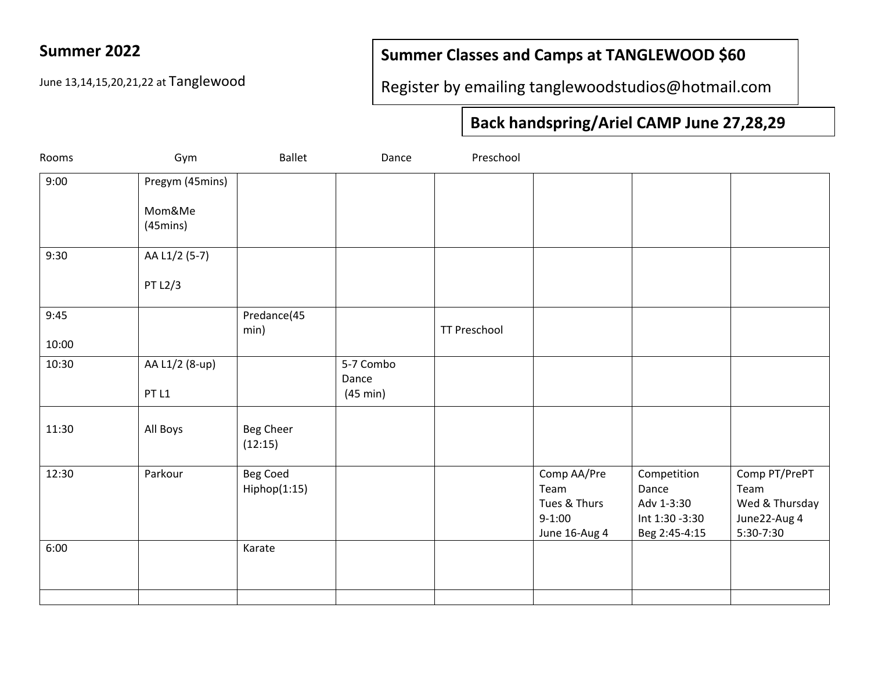### **Summer 2022**

### **Summer Classes and Camps at TANGLEWOOD \$60**

June 13,14,15,20,21,22 at Tanglewood

Register by emailing tanglewoodstudios@hotmail.com

## **Back handspring/Ariel CAMP June 27,28,29**

| Rooms         | Gym                                             | <b>Ballet</b>                   | Dance                          | Preschool           |                                                                  |                                                                       |                                                                      |
|---------------|-------------------------------------------------|---------------------------------|--------------------------------|---------------------|------------------------------------------------------------------|-----------------------------------------------------------------------|----------------------------------------------------------------------|
| 9:00          | Pregym (45mins)<br>Mom&Me<br>$(45 \text{mins})$ |                                 |                                |                     |                                                                  |                                                                       |                                                                      |
| 9:30          | AA L1/2 (5-7)<br>PT L2/3                        |                                 |                                |                     |                                                                  |                                                                       |                                                                      |
| 9:45<br>10:00 |                                                 | Predance(45<br>min)             |                                | <b>TT Preschool</b> |                                                                  |                                                                       |                                                                      |
| 10:30         | AA L1/2 (8-up)<br>PT <sub>L1</sub>              |                                 | 5-7 Combo<br>Dance<br>(45 min) |                     |                                                                  |                                                                       |                                                                      |
| 11:30         | All Boys                                        | <b>Beg Cheer</b><br>(12:15)     |                                |                     |                                                                  |                                                                       |                                                                      |
| 12:30         | Parkour                                         | <b>Beg Coed</b><br>Hiphop(1:15) |                                |                     | Comp AA/Pre<br>Team<br>Tues & Thurs<br>$9-1:00$<br>June 16-Aug 4 | Competition<br>Dance<br>Adv 1-3:30<br>Int 1:30 -3:30<br>Beg 2:45-4:15 | Comp PT/PrePT<br>Team<br>Wed & Thursday<br>June22-Aug 4<br>5:30-7:30 |
| 6:00          |                                                 | Karate                          |                                |                     |                                                                  |                                                                       |                                                                      |